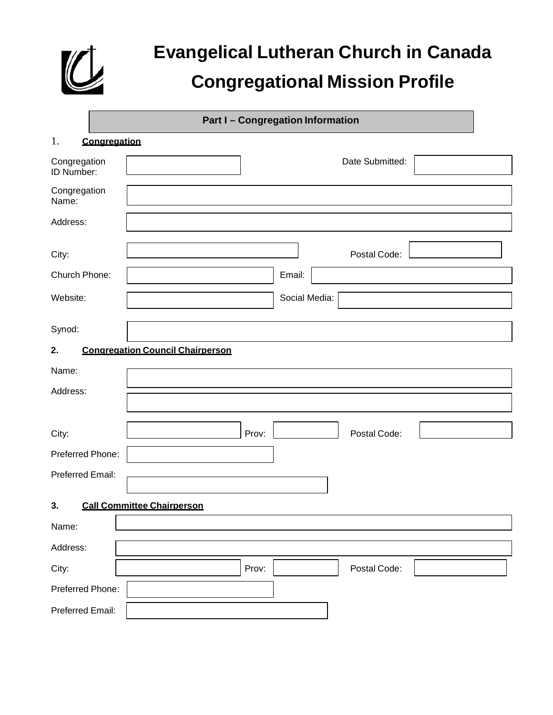

# **Evangelical Lutheran Church in Canada Congregational Mission Profile**

|                            |              | <b>Part I-Congregation Information</b>  |
|----------------------------|--------------|-----------------------------------------|
| 1.                         | Congregation |                                         |
| Congregation<br>ID Number: |              | Date Submitted:                         |
| Congregation<br>Name:      |              |                                         |
| Address:                   |              |                                         |
| City:                      |              | Postal Code:                            |
| Church Phone:              |              | Email:                                  |
| Website:                   |              | Social Media:                           |
| Synod:                     |              |                                         |
| 2.                         |              | <b>Congregation Council Chairperson</b> |
| Name:                      |              |                                         |
| Address:                   |              |                                         |
|                            |              |                                         |
| City:                      |              | Postal Code:<br>Prov:                   |
| Preferred Phone:           |              |                                         |
| Preferred Email:           |              |                                         |
|                            |              |                                         |
| 3.                         |              | <b>Call Committee Chairperson</b>       |
| Name:                      |              |                                         |
| Address:                   |              |                                         |
| City:                      |              | Prov:<br>Postal Code:                   |
| Preferred Phone:           |              |                                         |
| Preferred Email:           |              |                                         |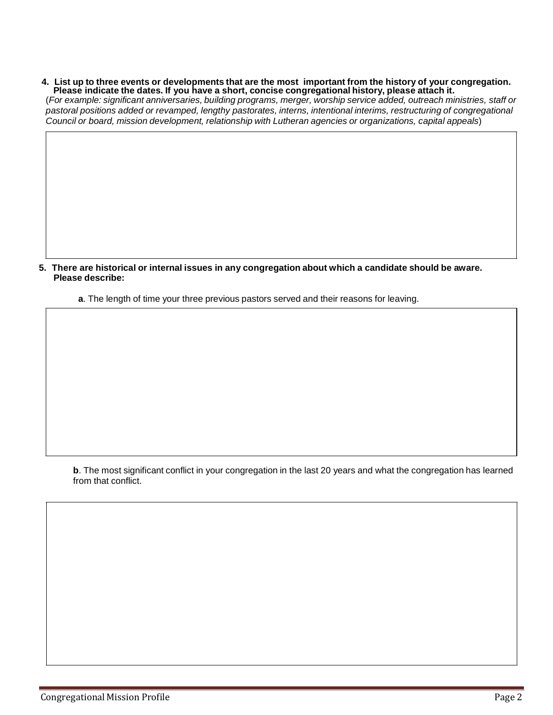4. List up to three events or developments that are the most important from the history of your congregation.<br>Please indicate the dates. If you have a short, concise congregational history, please attach it.

(*For example: significant anniversaries, building programs, merger, worship service added, outreach ministries, staff or pastoral positions added or revamped, lengthy pastorates, interns, intentional interims, restructuring of congregational Council or board, mission development, relationship with Lutheran agencies or organizations, capital appeals*)

**5. There are historical or internal issues in any congregation about which a candidate should be aware. Please describe:**

**a**. The length of time your three previous pastors served and their reasons for leaving.

**b**. The most significant conflict in your congregation in the last 20 years and what the congregation has learned from that conflict.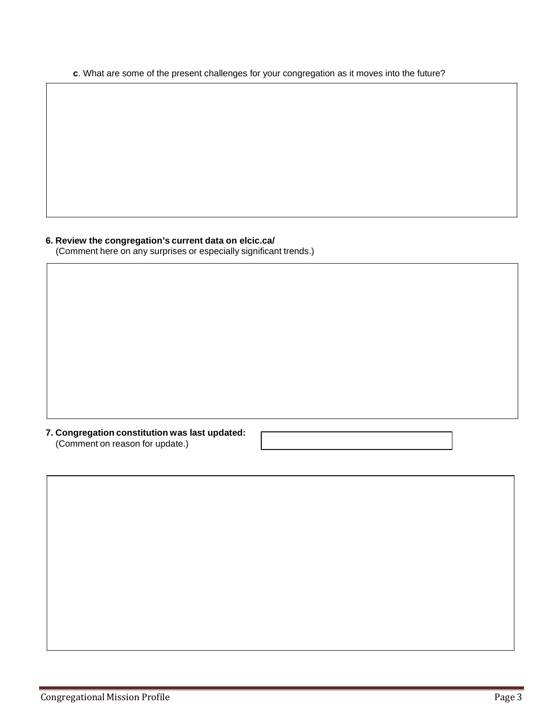**c**. What are some of the present challenges for your congregation as it moves into the future?

### **6. Review the congregation's current data on elcic.ca/**

(Comment here on any surprises or especially significant trends.)

### **7. Congregation constitution was last updated:** (Comment on reason for update.)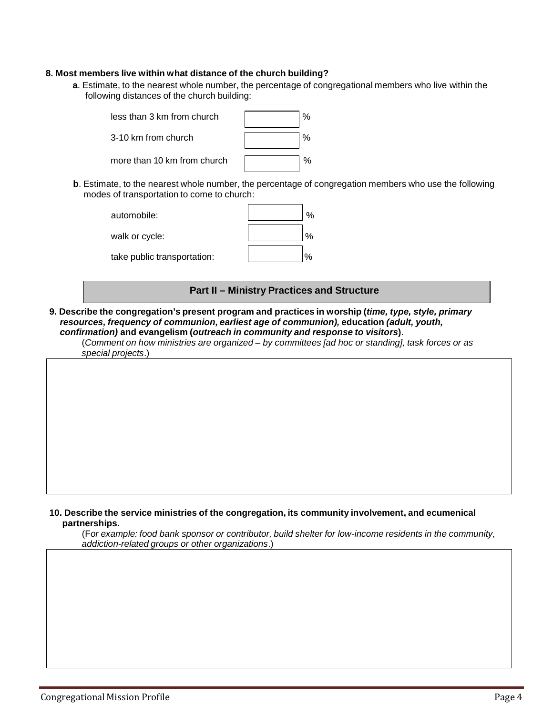### **8. Most members live within what distance of the church building?**

**a**. Estimate, to the nearest whole number, the percentage of congregational members who live within the following distances of the church building:

| less than 3 km from church  |  |
|-----------------------------|--|
| 3-10 km from church         |  |
| more than 10 km from church |  |

**b**. Estimate, to the nearest whole number, the percentage of congregation members who use the following modes of transportation to come to church:

| automobile:                 | %            |
|-----------------------------|--------------|
| walk or cycle:              | $O_{\ell}$   |
| take public transportation: | $\mathbf{o}$ |

### **Part II – Ministry Practices and Structure**

**9. Describe the congregation's present program and practices in worship (***time, type, style, primary resources, frequency of communion, earliest age of communion),* **education** *(adult, youth, confirmation)* **and evangelism (***outreach in community and response to visitors***)**.

(*Comment on how ministries are organized – by committees [ad hoc or standing], task forces or as special projects*.)

### **10. Describe the service ministries of the congregation, its community involvement, and ecumenical partnerships.**

(F*or example: food bank sponsor or contributor, build shelter for low-income residents in the community, addiction-related groups or other organizations*.)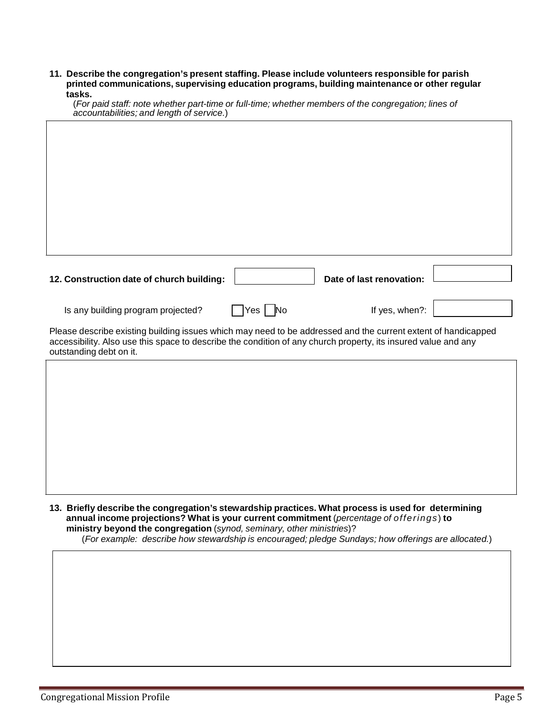**11. Describe the congregation's present staffing. Please include volunteers responsible for parish printed communications, supervising education programs, building maintenance or other regular tasks.** (*For paid staff: note whether part-time or full-time; whether members of the congregation; lines of* 

| accountabilities; and length of service.)                                                                      |                       |                          |  |
|----------------------------------------------------------------------------------------------------------------|-----------------------|--------------------------|--|
|                                                                                                                |                       |                          |  |
|                                                                                                                |                       |                          |  |
|                                                                                                                |                       |                          |  |
|                                                                                                                |                       |                          |  |
|                                                                                                                |                       |                          |  |
|                                                                                                                |                       |                          |  |
|                                                                                                                |                       |                          |  |
|                                                                                                                |                       |                          |  |
|                                                                                                                |                       |                          |  |
|                                                                                                                |                       |                          |  |
|                                                                                                                |                       |                          |  |
| 12. Construction date of church building:                                                                      |                       | Date of last renovation: |  |
|                                                                                                                |                       |                          |  |
| Is any building program projected?                                                                             | $\gamma$ es $\Box$ No | If yes, when?:           |  |
| Please describe existing building issues which may need to be addressed and the current extent of handicapped  |                       |                          |  |
| accessibility. Also use this space to describe the condition of any church property, its insured value and any |                       |                          |  |
| outstanding debt on it.                                                                                        |                       |                          |  |
|                                                                                                                |                       |                          |  |
|                                                                                                                |                       |                          |  |
|                                                                                                                |                       |                          |  |
|                                                                                                                |                       |                          |  |
|                                                                                                                |                       |                          |  |
|                                                                                                                |                       |                          |  |
|                                                                                                                |                       |                          |  |
|                                                                                                                |                       |                          |  |
|                                                                                                                |                       |                          |  |
|                                                                                                                |                       |                          |  |

**13. Briefly describe the congregation's stewardship practices. What process is used for determining annual income projections? What is your current commitment** (*percentage of offerings*) **to ministry beyond the congregation** (*synod, seminary, other ministries*)?

(*For example: describe how stewardship is encouraged; pledge Sundays; how offerings are allocated.*)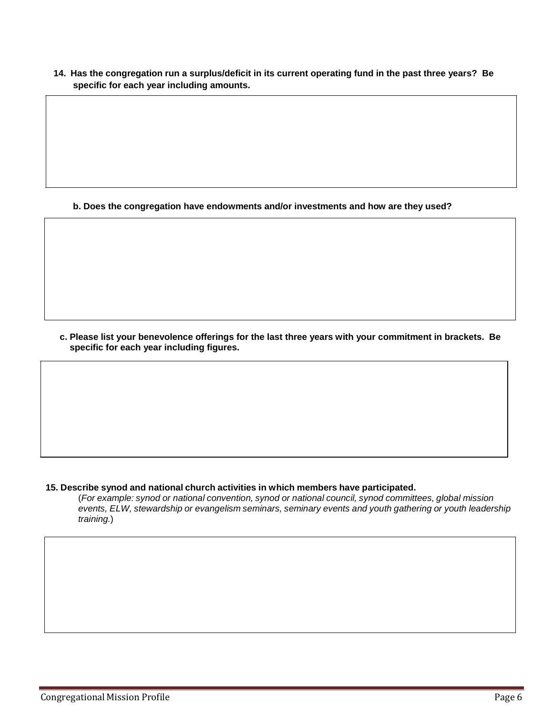**14. Has the congregation run a surplus/deficit in its current operating fund in the past three years? Be specific for each year including amounts.**

**b. Does the congregation have endowments and/or investments and how are they used?**

**c. Please list your benevolence offerings for the last three years with your commitment in brackets. Be specific for each year including figures.**

### **15. Describe synod and national church activities in which members have participated.**

(*For example: synod or national convention, synod or national council, synod committees, global mission events, ELW, stewardship or evangelism seminars, seminary events and youth gathering or youth leadership training.*)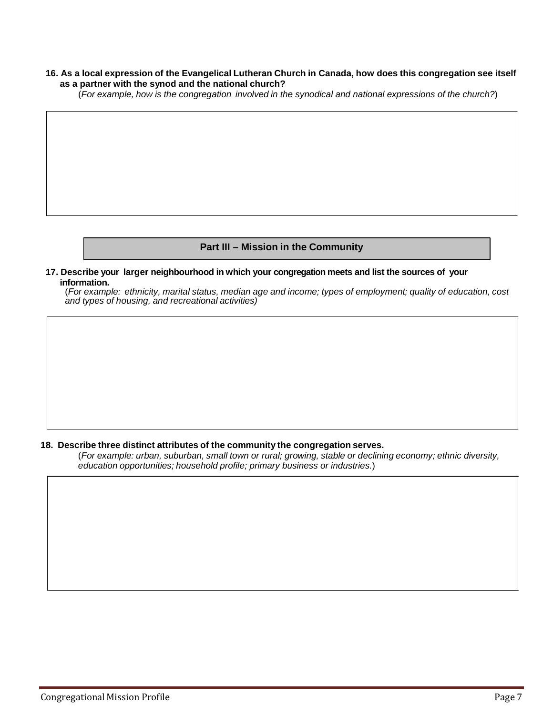### **16. As a local expression of the Evangelical Lutheran Church in Canada, how does this congregation see itself as a partner with the synod and the national church?**

(*For example, how is the congregation involved in the synodical and national expressions of the church?*)

### **Part III – Mission in the Community**

**17. Describe your larger neighbourhood in which your congregation meets and list the sources of your information.**

(*For example: ethnicity, marital status, median age and income; types of employment; quality of education, cost and types of housing, and recreational activities)*

### **18. Describe three distinct attributes of the community the congregation serves.**

(*For example: urban, suburban, small town or rural; growing, stable or declining economy; ethnic diversity, education opportunities; household profile; primary business or industries.*)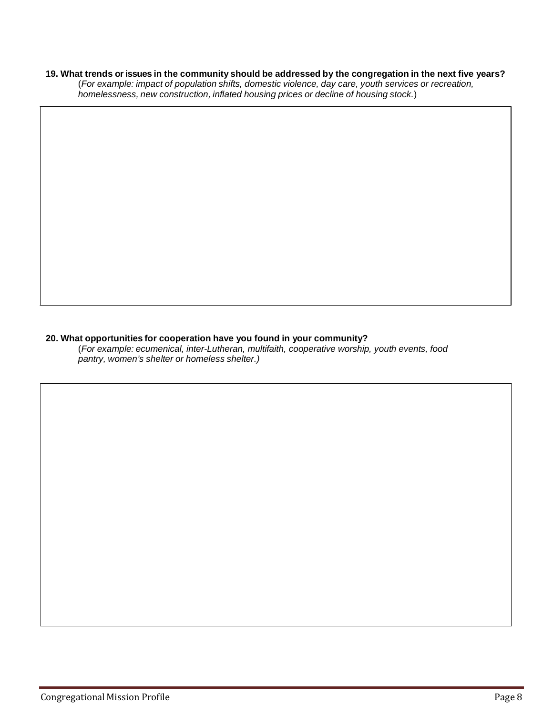### 19. What trends or issues in the community should be addressed by the congregation in the next five years?

(*For example: impact of population shifts, domestic violence, day care, youth services or recreation, homelessness, new construction, inflated housing prices or decline of housing stock.*)

### **20. What opportunities for cooperation have you found in your community?**

(*For example: ecumenical, inter-Lutheran, multifaith, cooperative worship, youth events, food pantry, women's shelter or homeless shelter.)*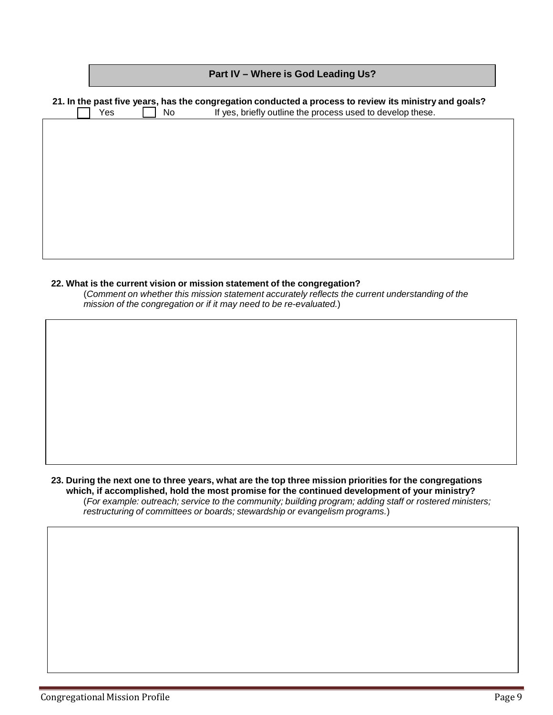|                                                                                                                                                                                   |  | Part IV - Where is God Leading Us? |  |
|-----------------------------------------------------------------------------------------------------------------------------------------------------------------------------------|--|------------------------------------|--|
| 21. In the past five years, has the congregation conducted a process to review its ministry and goals?<br>If yes, briefly outline the process used to develop these.<br>Yes<br>No |  |                                    |  |
|                                                                                                                                                                                   |  |                                    |  |
|                                                                                                                                                                                   |  |                                    |  |
|                                                                                                                                                                                   |  |                                    |  |
|                                                                                                                                                                                   |  |                                    |  |
|                                                                                                                                                                                   |  |                                    |  |
|                                                                                                                                                                                   |  |                                    |  |

### **22. What is the current vision or mission statement of the congregation?**

(*Comment on whether this mission statement accurately reflects the current understanding of the mission of the congregation or if it may need to be re-evaluated.*)

23. During the next one to three years, what are the top three mission priorities for the congregations **which, if accomplished, hold the most promise for the continued development of your ministry?** (*For example: outreach; service to the community; building program; adding staff or rostered ministers; restructuring of committees or boards; stewardship or evangelism programs.*)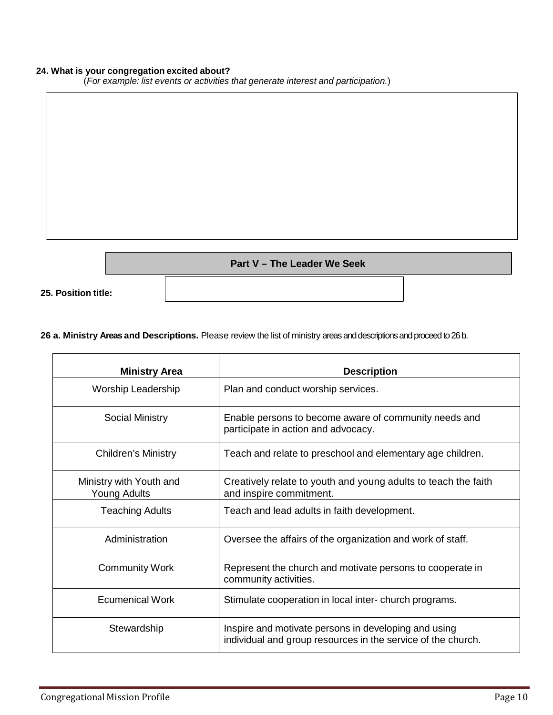### **24. What is your congregation excited about?**

(*For example: list events or activities that generate interest and participation.*)

# **Part V – The Leader We Seek**

**25. Position title:**

### **26 a. Ministry Areas and Descriptions.** Please review the list of ministry areasand descriptionsand proceed to 26 b.

| <b>Ministry Area</b>                           | <b>Description</b>                                                                                                   |
|------------------------------------------------|----------------------------------------------------------------------------------------------------------------------|
| Worship Leadership                             | Plan and conduct worship services.                                                                                   |
| Social Ministry                                | Enable persons to become aware of community needs and<br>participate in action and advocacy.                         |
| <b>Children's Ministry</b>                     | Teach and relate to preschool and elementary age children.                                                           |
| Ministry with Youth and<br><b>Young Adults</b> | Creatively relate to youth and young adults to teach the faith<br>and inspire commitment.                            |
| <b>Teaching Adults</b>                         | Teach and lead adults in faith development.                                                                          |
| Administration                                 | Oversee the affairs of the organization and work of staff.                                                           |
| <b>Community Work</b>                          | Represent the church and motivate persons to cooperate in<br>community activities.                                   |
| <b>Ecumenical Work</b>                         | Stimulate cooperation in local inter-church programs.                                                                |
| Stewardship                                    | Inspire and motivate persons in developing and using<br>individual and group resources in the service of the church. |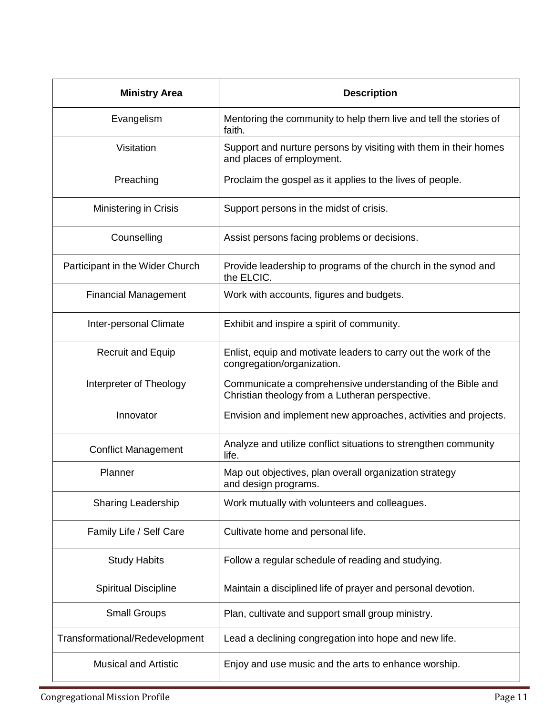| <b>Ministry Area</b>            | <b>Description</b>                                                                                            |
|---------------------------------|---------------------------------------------------------------------------------------------------------------|
| Evangelism                      | Mentoring the community to help them live and tell the stories of<br>faith.                                   |
| Visitation                      | Support and nurture persons by visiting with them in their homes<br>and places of employment.                 |
| Preaching                       | Proclaim the gospel as it applies to the lives of people.                                                     |
| <b>Ministering in Crisis</b>    | Support persons in the midst of crisis.                                                                       |
| Counselling                     | Assist persons facing problems or decisions.                                                                  |
| Participant in the Wider Church | Provide leadership to programs of the church in the synod and<br>the ELCIC.                                   |
| <b>Financial Management</b>     | Work with accounts, figures and budgets.                                                                      |
| Inter-personal Climate          | Exhibit and inspire a spirit of community.                                                                    |
| <b>Recruit and Equip</b>        | Enlist, equip and motivate leaders to carry out the work of the<br>congregation/organization.                 |
| Interpreter of Theology         | Communicate a comprehensive understanding of the Bible and<br>Christian theology from a Lutheran perspective. |
| Innovator                       | Envision and implement new approaches, activities and projects.                                               |
| <b>Conflict Management</b>      | Analyze and utilize conflict situations to strengthen community<br>life.                                      |
| Planner                         | Map out objectives, plan overall organization strategy<br>and design programs.                                |
| <b>Sharing Leadership</b>       | Work mutually with volunteers and colleagues.                                                                 |
| Family Life / Self Care         | Cultivate home and personal life.                                                                             |
| <b>Study Habits</b>             | Follow a regular schedule of reading and studying.                                                            |
| <b>Spiritual Discipline</b>     | Maintain a disciplined life of prayer and personal devotion.                                                  |
| <b>Small Groups</b>             | Plan, cultivate and support small group ministry.                                                             |
| Transformational/Redevelopment  | Lead a declining congregation into hope and new life.                                                         |
| <b>Musical and Artistic</b>     | Enjoy and use music and the arts to enhance worship.                                                          |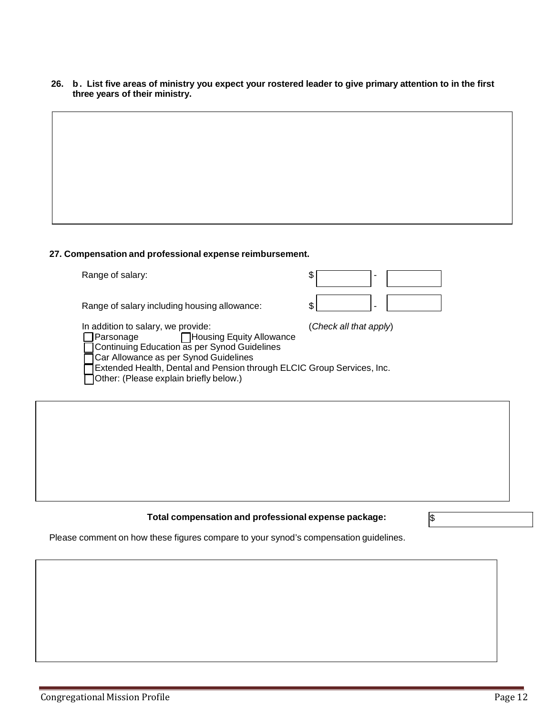26. b. List five areas of ministry you expect your rostered leader to give primary attention to in the first **three years of their ministry.**

## **27. Compensation and professional expense reimbursement.** Range of salary:  $\frac{1}{3}$ Range of salary including housing allowance:  $\$\$$ In addition to salary, we provide: (*Check all that apply*) Parsonage **Housing Equity Allowance** Continuing Education as per Synod Guidelines Car Allowance as per Synod Guidelines Extended Health, Dental and Pension through ELCIC Group Services, Inc. Other: (Please explain briefly below.)

### **Total compensation and professional expense package:** \$

Please comment on how these figures compare to your synod's compensation guidelines.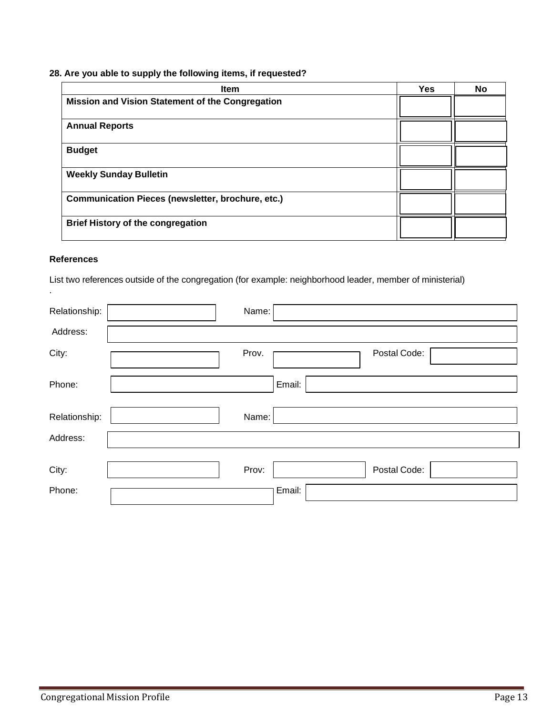### **28. Are you able to supply the following items, if requested?**

| <b>Item</b>                                              | <b>Yes</b> | No |
|----------------------------------------------------------|------------|----|
| Mission and Vision Statement of the Congregation         |            |    |
| <b>Annual Reports</b>                                    |            |    |
| <b>Budget</b>                                            |            |    |
| <b>Weekly Sunday Bulletin</b>                            |            |    |
| <b>Communication Pieces (newsletter, brochure, etc.)</b> |            |    |
| <b>Brief History of the congregation</b>                 |            |    |

### **References**

.

List two references outside of the congregation (for example: neighborhood leader, member of ministerial)

| Relationship: | Name:                 |
|---------------|-----------------------|
| Address:      |                       |
| City:         | Postal Code:<br>Prov. |
| Phone:        | Email:                |
| Relationship: | Name:                 |
| Address:      |                       |
|               |                       |
| City:         | Postal Code:<br>Prov: |
| Phone:        | Email:                |